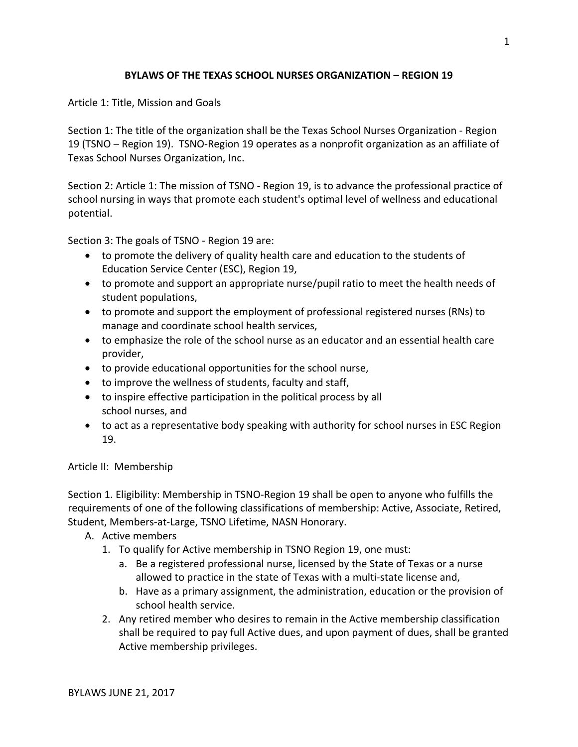# **BYLAWS OF THE TEXAS SCHOOL NURSES ORGANIZATION – REGION 19**

Article 1: Title, Mission and Goals

Section 1: The title of the organization shall be the Texas School Nurses Organization - Region 19 (TSNO – Region 19). TSNO-Region 19 operates as a nonprofit organization as an affiliate of Texas School Nurses Organization, Inc.

Section 2: Article 1: The mission of TSNO - Region 19, is to advance the professional practice of school nursing in ways that promote each student's optimal level of wellness and educational potential.

Section 3: The goals of TSNO - Region 19 are:

- to promote the delivery of quality health care and education to the students of Education Service Center (ESC), Region 19,
- to promote and support an appropriate nurse/pupil ratio to meet the health needs of student populations,
- to promote and support the employment of professional registered nurses (RNs) to manage and coordinate school health services,
- to emphasize the role of the school nurse as an educator and an essential health care provider,
- to provide educational opportunities for the school nurse,
- to improve the wellness of students, faculty and staff,
- to inspire effective participation in the political process by all school nurses, and
- to act as a representative body speaking with authority for school nurses in ESC Region 19.

Article II: Membership

Section 1. Eligibility: Membership in TSNO-Region 19 shall be open to anyone who fulfills the requirements of one of the following classifications of membership: Active, Associate, Retired, Student, Members-at-Large, TSNO Lifetime, NASN Honorary.

- A. Active members
	- 1. To qualify for Active membership in TSNO Region 19, one must:
		- a. Be a registered professional nurse, licensed by the State of Texas or a nurse allowed to practice in the state of Texas with a multi-state license and,
		- b. Have as a primary assignment, the administration, education or the provision of school health service.
	- 2. Any retired member who desires to remain in the Active membership classification shall be required to pay full Active dues, and upon payment of dues, shall be granted Active membership privileges.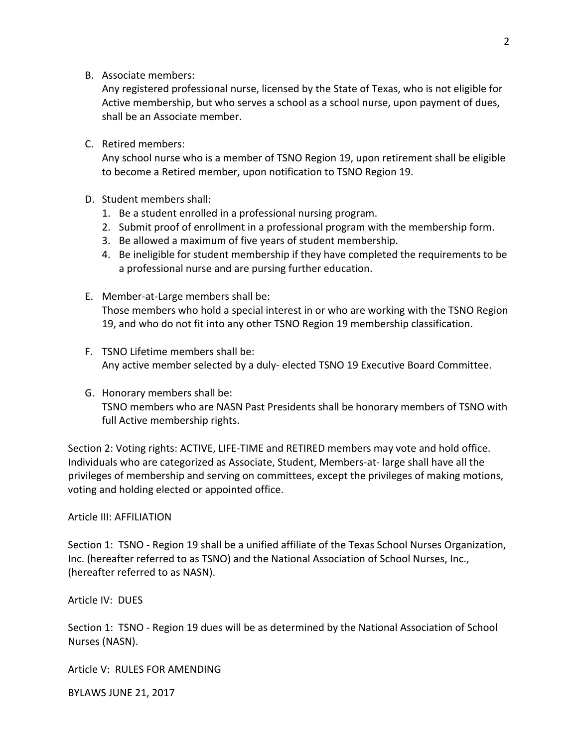B. Associate members:

Any registered professional nurse, licensed by the State of Texas, who is not eligible for Active membership, but who serves a school as a school nurse, upon payment of dues, shall be an Associate member.

### C. Retired members:

Any school nurse who is a member of TSNO Region 19, upon retirement shall be eligible to become a Retired member, upon notification to TSNO Region 19.

- D. Student members shall:
	- 1. Be a student enrolled in a professional nursing program.
	- 2. Submit proof of enrollment in a professional program with the membership form.
	- 3. Be allowed a maximum of five years of student membership.
	- 4. Be ineligible for student membership if they have completed the requirements to be a professional nurse and are pursing further education.
- E. Member-at-Large members shall be: Those members who hold a special interest in or who are working with the TSNO Region 19, and who do not fit into any other TSNO Region 19 membership classification.
- F. TSNO Lifetime members shall be: Any active member selected by a duly- elected TSNO 19 Executive Board Committee.
- G. Honorary members shall be: TSNO members who are NASN Past Presidents shall be honorary members of TSNO with full Active membership rights.

Section 2: Voting rights: ACTIVE, LIFE-TIME and RETIRED members may vote and hold office. Individuals who are categorized as Associate, Student, Members-at- large shall have all the privileges of membership and serving on committees, except the privileges of making motions, voting and holding elected or appointed office.

### Article III: AFFILIATION

Section 1: TSNO - Region 19 shall be a unified affiliate of the Texas School Nurses Organization, Inc. (hereafter referred to as TSNO) and the National Association of School Nurses, Inc., (hereafter referred to as NASN).

Article IV: DUES

Section 1: TSNO - Region 19 dues will be as determined by the National Association of School Nurses (NASN).

Article V: RULES FOR AMENDING

BYLAWS JUNE 21, 2017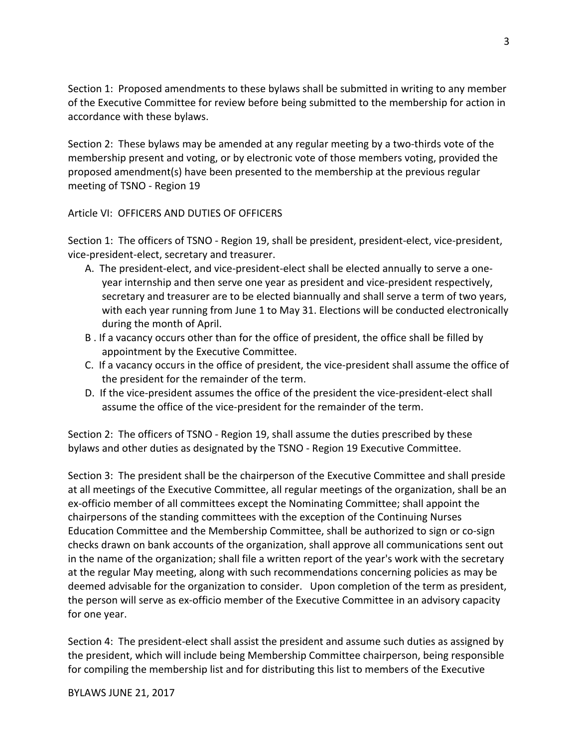Section 1: Proposed amendments to these bylaws shall be submitted in writing to any member of the Executive Committee for review before being submitted to the membership for action in accordance with these bylaws.

Section 2: These bylaws may be amended at any regular meeting by a two-thirds vote of the membership present and voting, or by electronic vote of those members voting, provided the proposed amendment(s) have been presented to the membership at the previous regular meeting of TSNO - Region 19

### Article VI: OFFICERS AND DUTIES OF OFFICERS

Section 1: The officers of TSNO - Region 19, shall be president, president-elect, vice-president, vice-president-elect, secretary and treasurer.

- A. The president-elect, and vice-president-elect shall be elected annually to serve a oneyear internship and then serve one year as president and vice-president respectively, secretary and treasurer are to be elected biannually and shall serve a term of two years, with each year running from June 1 to May 31. Elections will be conducted electronically during the month of April.
- B . If a vacancy occurs other than for the office of president, the office shall be filled by appointment by the Executive Committee.
- C. If a vacancy occurs in the office of president, the vice-president shall assume the office of the president for the remainder of the term.
- D. If the vice-president assumes the office of the president the vice-president-elect shall assume the office of the vice-president for the remainder of the term.

Section 2: The officers of TSNO - Region 19, shall assume the duties prescribed by these bylaws and other duties as designated by the TSNO - Region 19 Executive Committee.

Section 3: The president shall be the chairperson of the Executive Committee and shall preside at all meetings of the Executive Committee, all regular meetings of the organization, shall be an ex-officio member of all committees except the Nominating Committee; shall appoint the chairpersons of the standing committees with the exception of the Continuing Nurses Education Committee and the Membership Committee, shall be authorized to sign or co-sign checks drawn on bank accounts of the organization, shall approve all communications sent out in the name of the organization; shall file a written report of the year's work with the secretary at the regular May meeting, along with such recommendations concerning policies as may be deemed advisable for the organization to consider. Upon completion of the term as president, the person will serve as ex-officio member of the Executive Committee in an advisory capacity for one year.

Section 4: The president-elect shall assist the president and assume such duties as assigned by the president, which will include being Membership Committee chairperson, being responsible for compiling the membership list and for distributing this list to members of the Executive

BYLAWS JUNE 21, 2017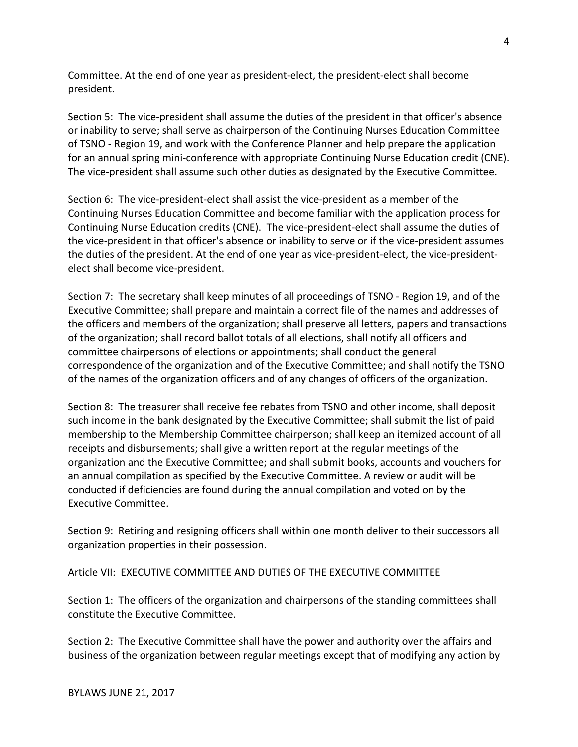Committee. At the end of one year as president-elect, the president-elect shall become president.

Section 5: The vice-president shall assume the duties of the president in that officer's absence or inability to serve; shall serve as chairperson of the Continuing Nurses Education Committee of TSNO - Region 19, and work with the Conference Planner and help prepare the application for an annual spring mini-conference with appropriate Continuing Nurse Education credit (CNE). The vice-president shall assume such other duties as designated by the Executive Committee.

Section 6: The vice-president-elect shall assist the vice-president as a member of the Continuing Nurses Education Committee and become familiar with the application process for Continuing Nurse Education credits (CNE). The vice-president-elect shall assume the duties of the vice-president in that officer's absence or inability to serve or if the vice-president assumes the duties of the president. At the end of one year as vice-president-elect, the vice-presidentelect shall become vice-president.

Section 7: The secretary shall keep minutes of all proceedings of TSNO - Region 19, and of the Executive Committee; shall prepare and maintain a correct file of the names and addresses of the officers and members of the organization; shall preserve all letters, papers and transactions of the organization; shall record ballot totals of all elections, shall notify all officers and committee chairpersons of elections or appointments; shall conduct the general correspondence of the organization and of the Executive Committee; and shall notify the TSNO of the names of the organization officers and of any changes of officers of the organization.

Section 8: The treasurer shall receive fee rebates from TSNO and other income, shall deposit such income in the bank designated by the Executive Committee; shall submit the list of paid membership to the Membership Committee chairperson; shall keep an itemized account of all receipts and disbursements; shall give a written report at the regular meetings of the organization and the Executive Committee; and shall submit books, accounts and vouchers for an annual compilation as specified by the Executive Committee. A review or audit will be conducted if deficiencies are found during the annual compilation and voted on by the Executive Committee.

Section 9: Retiring and resigning officers shall within one month deliver to their successors all organization properties in their possession.

Article VII: EXECUTIVE COMMITTEE AND DUTIES OF THE EXECUTIVE COMMITTEE

Section 1: The officers of the organization and chairpersons of the standing committees shall constitute the Executive Committee.

Section 2: The Executive Committee shall have the power and authority over the affairs and business of the organization between regular meetings except that of modifying any action by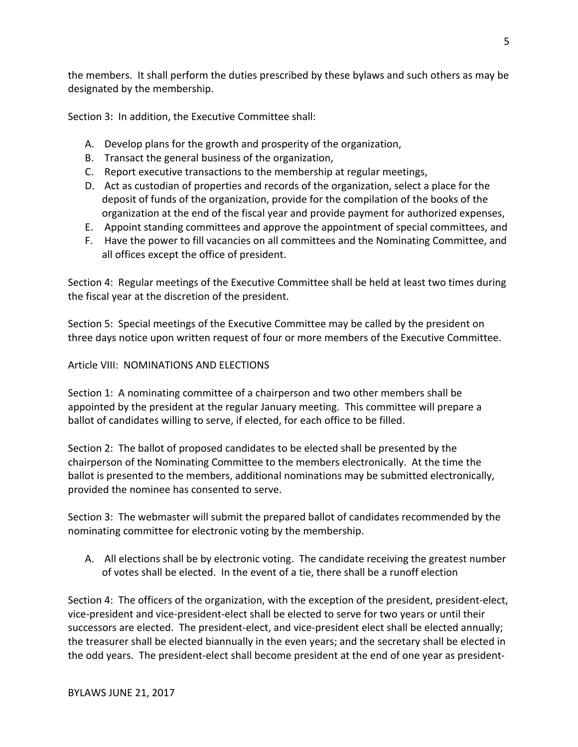the members. It shall perform the duties prescribed by these bylaws and such others as may be designated by the membership.

Section 3: In addition, the Executive Committee shall:

- A. Develop plans for the growth and prosperity of the organization,
- B. Transact the general business of the organization,
- C. Report executive transactions to the membership at regular meetings,
- D. Act as custodian of properties and records of the organization, select a place for the deposit of funds of the organization, provide for the compilation of the books of the organization at the end of the fiscal year and provide payment for authorized expenses,
- E. Appoint standing committees and approve the appointment of special committees, and
- F. Have the power to fill vacancies on all committees and the Nominating Committee, and all offices except the office of president.

Section 4: Regular meetings of the Executive Committee shall be held at least two times during the fiscal year at the discretion of the president.

Section 5: Special meetings of the Executive Committee may be called by the president on three days notice upon written request of four or more members of the Executive Committee.

# Article VIII: NOMINATIONS AND ELECTIONS

Section 1: A nominating committee of a chairperson and two other members shall be appointed by the president at the regular January meeting. This committee will prepare a ballot of candidates willing to serve, if elected, for each office to be filled.

Section 2: The ballot of proposed candidates to be elected shall be presented by the chairperson of the Nominating Committee to the members electronically. At the time the ballot is presented to the members, additional nominations may be submitted electronically, provided the nominee has consented to serve.

Section 3: The webmaster will submit the prepared ballot of candidates recommended by the nominating committee for electronic voting by the membership.

A. All elections shall be by electronic voting. The candidate receiving the greatest number of votes shall be elected. In the event of a tie, there shall be a runoff election

Section 4: The officers of the organization, with the exception of the president, president-elect, vice-president and vice-president-elect shall be elected to serve for two years or until their successors are elected. The president-elect, and vice-president elect shall be elected annually; the treasurer shall be elected biannually in the even years; and the secretary shall be elected in the odd years. The president-elect shall become president at the end of one year as president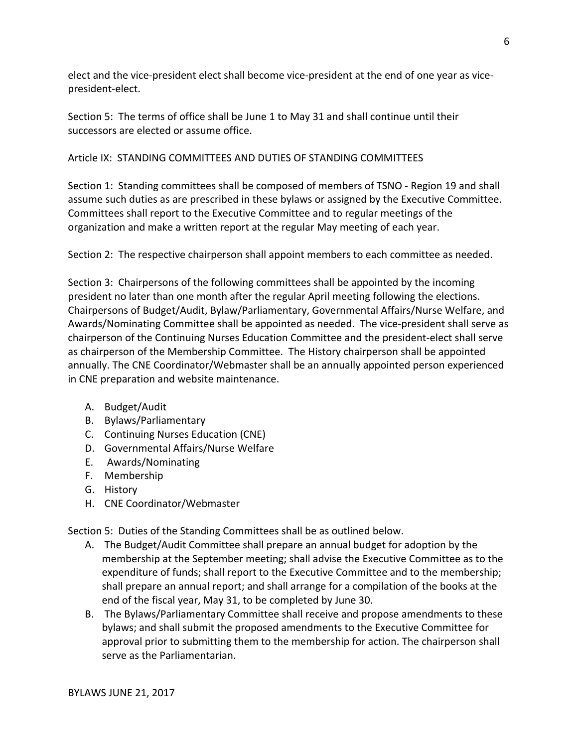elect and the vice-president elect shall become vice-president at the end of one year as vicepresident-elect.

Section 5: The terms of office shall be June 1 to May 31 and shall continue until their successors are elected or assume office.

# Article IX: STANDING COMMITTEES AND DUTIES OF STANDING COMMITTEES

Section 1: Standing committees shall be composed of members of TSNO - Region 19 and shall assume such duties as are prescribed in these bylaws or assigned by the Executive Committee. Committees shall report to the Executive Committee and to regular meetings of the organization and make a written report at the regular May meeting of each year.

Section 2: The respective chairperson shall appoint members to each committee as needed.

Section 3: Chairpersons of the following committees shall be appointed by the incoming president no later than one month after the regular April meeting following the elections. Chairpersons of Budget/Audit, Bylaw/Parliamentary, Governmental Affairs/Nurse Welfare, and Awards/Nominating Committee shall be appointed as needed. The vice-president shall serve as chairperson of the Continuing Nurses Education Committee and the president-elect shall serve as chairperson of the Membership Committee. The History chairperson shall be appointed annually. The CNE Coordinator/Webmaster shall be an annually appointed person experienced in CNE preparation and website maintenance.

- A. Budget/Audit
- B. Bylaws/Parliamentary
- C. Continuing Nurses Education (CNE)
- D. Governmental Affairs/Nurse Welfare
- E. Awards/Nominating
- F. Membership
- G. History
- H. CNE Coordinator/Webmaster

Section 5: Duties of the Standing Committees shall be as outlined below.

- A. The Budget/Audit Committee shall prepare an annual budget for adoption by the membership at the September meeting; shall advise the Executive Committee as to the expenditure of funds; shall report to the Executive Committee and to the membership; shall prepare an annual report; and shall arrange for a compilation of the books at the end of the fiscal year, May 31, to be completed by June 30.
- B. The Bylaws/Parliamentary Committee shall receive and propose amendments to these bylaws; and shall submit the proposed amendments to the Executive Committee for approval prior to submitting them to the membership for action. The chairperson shall serve as the Parliamentarian.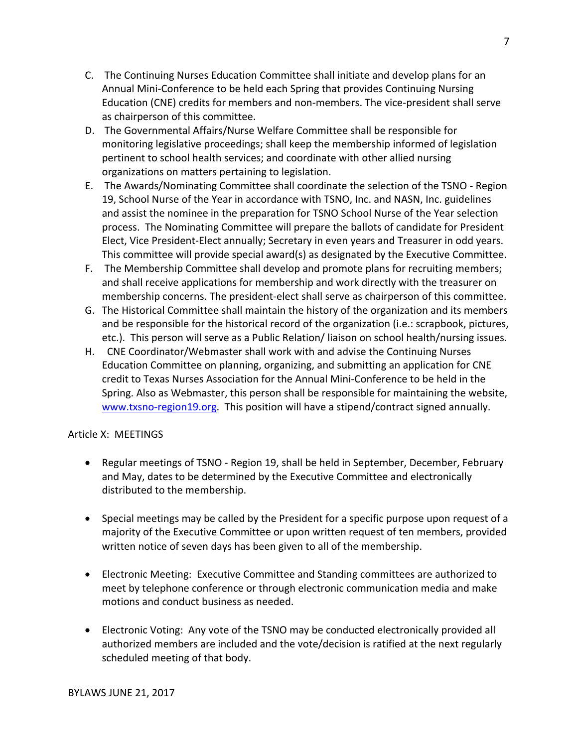- C. The Continuing Nurses Education Committee shall initiate and develop plans for an Annual Mini-Conference to be held each Spring that provides Continuing Nursing Education (CNE) credits for members and non-members. The vice-president shall serve as chairperson of this committee.
- D. The Governmental Affairs/Nurse Welfare Committee shall be responsible for monitoring legislative proceedings; shall keep the membership informed of legislation pertinent to school health services; and coordinate with other allied nursing organizations on matters pertaining to legislation.
- E. The Awards/Nominating Committee shall coordinate the selection of the TSNO Region 19, School Nurse of the Year in accordance with TSNO, Inc. and NASN, Inc. guidelines and assist the nominee in the preparation for TSNO School Nurse of the Year selection process. The Nominating Committee will prepare the ballots of candidate for President Elect, Vice President-Elect annually; Secretary in even years and Treasurer in odd years. This committee will provide special award(s) as designated by the Executive Committee.
- F. The Membership Committee shall develop and promote plans for recruiting members; and shall receive applications for membership and work directly with the treasurer on membership concerns. The president-elect shall serve as chairperson of this committee.
- G. The Historical Committee shall maintain the history of the organization and its members and be responsible for the historical record of the organization (i.e.: scrapbook, pictures, etc.). This person will serve as a Public Relation/ liaison on school health/nursing issues.
- H. CNE Coordinator/Webmaster shall work with and advise the Continuing Nurses Education Committee on planning, organizing, and submitting an application for CNE credit to Texas Nurses Association for the Annual Mini-Conference to be held in the Spring. Also as Webmaster, this person shall be responsible for maintaining the website, www.txsno-region19.org. This position will have a stipend/contract signed annually.

### Article X: MEETINGS

- Regular meetings of TSNO Region 19, shall be held in September, December, February and May, dates to be determined by the Executive Committee and electronically distributed to the membership.
- Special meetings may be called by the President for a specific purpose upon request of a majority of the Executive Committee or upon written request of ten members, provided written notice of seven days has been given to all of the membership.
- Electronic Meeting: Executive Committee and Standing committees are authorized to meet by telephone conference or through electronic communication media and make motions and conduct business as needed.
- Electronic Voting: Any vote of the TSNO may be conducted electronically provided all authorized members are included and the vote/decision is ratified at the next regularly scheduled meeting of that body.